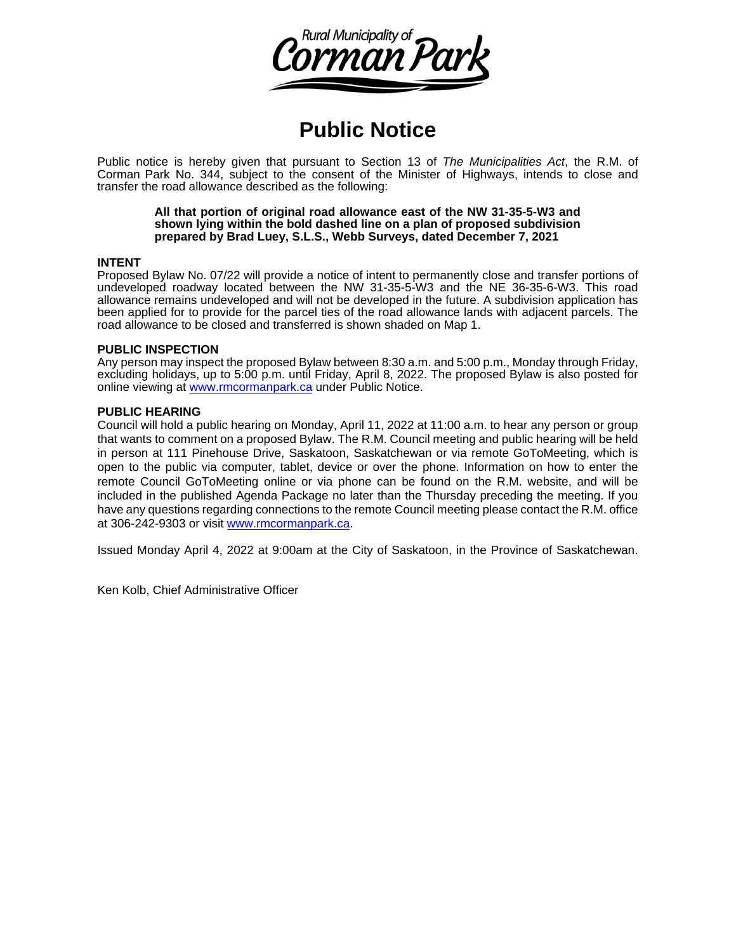

## **Public Notice**

Public notice is hereby given that pursuant to Section 13 of *The Municipalities Act*, the R.M. of Corman Park No. 344, subject to the consent of the Minister of Highways, intends to close and transfer the road allowance described as the following:

> **All that portion of original road allowance east of the NW 31-35-5-W3 and shown lying within the bold dashed line on a plan of proposed subdivision prepared by Brad Luey, S.L.S., Webb Surveys, dated December 7, 2021**

## **INTENT**

Proposed Bylaw No. 07/22 will provide a notice of intent to permanently close and transfer portions of undeveloped roadway located between the NW 31-35-5-W3 and the NE 36-35-6-W3. This road allowance remains undeveloped and will not be developed in the future. A subdivision application has been applied for to provide for the parcel ties of the road allowance lands with adjacent parcels. The road allowance to be closed and transferred is shown shaded on Map 1.

## **PUBLIC INSPECTION**

Any person may inspect the proposed Bylaw between 8:30 a.m. and 5:00 p.m., Monday through Friday, excluding holidays, up to 5:00 p.m. until Friday, April 8, 2022. The proposed Bylaw is also posted for online viewing at [www.rmcormanpark.ca](http://www.rmcormanpark.ca/) under Public Notice.

## **PUBLIC HEARING**

Council will hold a public hearing on Monday, April 11, 2022 at 11:00 a.m. to hear any person or group that wants to comment on a proposed Bylaw. The R.M. Council meeting and public hearing will be held in person at 111 Pinehouse Drive, Saskatoon, Saskatchewan or via remote GoToMeeting, which is open to the public via computer, tablet, device or over the phone. Information on how to enter the remote Council GoToMeeting online or via phone can be found on the R.M. website, and will be included in the published Agenda Package no later than the Thursday preceding the meeting. If you have any questions regarding connections to the remote Council meeting please contact the R.M. office at 306-242-9303 or visit [www.rmcormanpark.ca.](http://www.rmcormanpark.ca/)

Issued Monday April 4, 2022 at 9:00am at the City of Saskatoon, in the Province of Saskatchewan.

Ken Kolb, Chief Administrative Officer